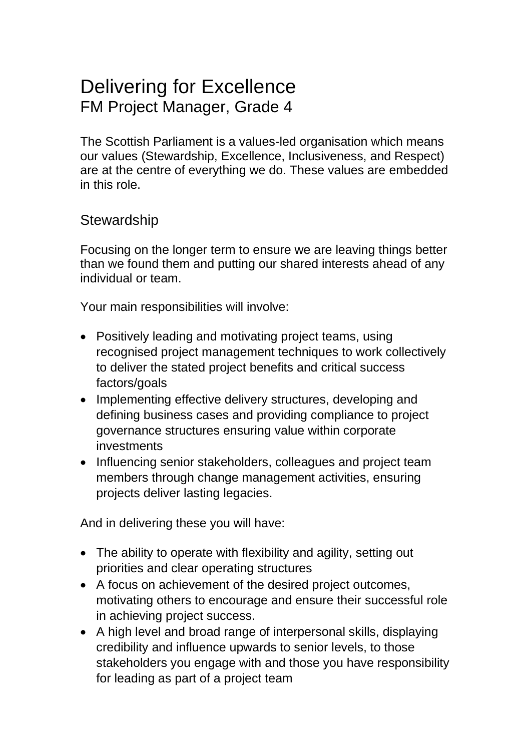# Delivering for Excellence FM Project Manager, Grade 4

The Scottish Parliament is a values-led organisation which means our values (Stewardship, Excellence, Inclusiveness, and Respect) are at the centre of everything we do. These values are embedded in this role.

### **Stewardship**

Focusing on the longer term to ensure we are leaving things better than we found them and putting our shared interests ahead of any individual or team.

Your main responsibilities will involve:

- Positively leading and motivating project teams, using recognised project management techniques to work collectively to deliver the stated project benefits and critical success factors/goals
- Implementing effective delivery structures, developing and defining business cases and providing compliance to project governance structures ensuring value within corporate investments
- Influencing senior stakeholders, colleagues and project team members through change management activities, ensuring projects deliver lasting legacies.

- The ability to operate with flexibility and agility, setting out priorities and clear operating structures
- A focus on achievement of the desired project outcomes, motivating others to encourage and ensure their successful role in achieving project success.
- A high level and broad range of interpersonal skills, displaying credibility and influence upwards to senior levels, to those stakeholders you engage with and those you have responsibility for leading as part of a project team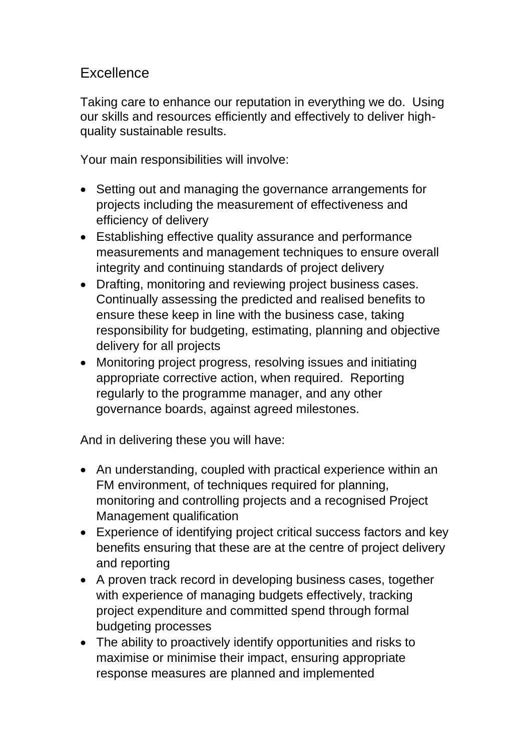## **Excellence**

Taking care to enhance our reputation in everything we do. Using our skills and resources efficiently and effectively to deliver highquality sustainable results.

Your main responsibilities will involve:

- Setting out and managing the governance arrangements for projects including the measurement of effectiveness and efficiency of delivery
- Establishing effective quality assurance and performance measurements and management techniques to ensure overall integrity and continuing standards of project delivery
- Drafting, monitoring and reviewing project business cases. Continually assessing the predicted and realised benefits to ensure these keep in line with the business case, taking responsibility for budgeting, estimating, planning and objective delivery for all projects
- Monitoring project progress, resolving issues and initiating appropriate corrective action, when required. Reporting regularly to the programme manager, and any other governance boards, against agreed milestones.

- An understanding, coupled with practical experience within an FM environment, of techniques required for planning, monitoring and controlling projects and a recognised Project Management qualification
- Experience of identifying project critical success factors and key benefits ensuring that these are at the centre of project delivery and reporting
- A proven track record in developing business cases, together with experience of managing budgets effectively, tracking project expenditure and committed spend through formal budgeting processes
- The ability to proactively identify opportunities and risks to maximise or minimise their impact, ensuring appropriate response measures are planned and implemented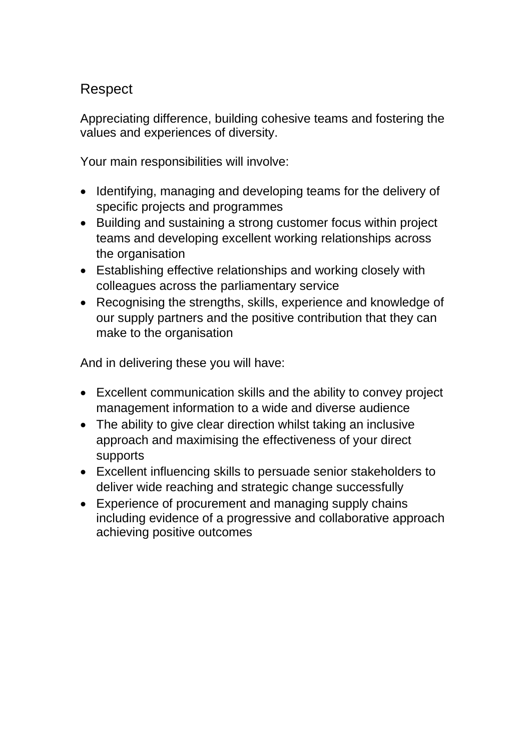## Respect

Appreciating difference, building cohesive teams and fostering the values and experiences of diversity.

Your main responsibilities will involve:

- Identifying, managing and developing teams for the delivery of specific projects and programmes
- Building and sustaining a strong customer focus within project teams and developing excellent working relationships across the organisation
- Establishing effective relationships and working closely with colleagues across the parliamentary service
- Recognising the strengths, skills, experience and knowledge of our supply partners and the positive contribution that they can make to the organisation

- Excellent communication skills and the ability to convey project management information to a wide and diverse audience
- The ability to give clear direction whilst taking an inclusive approach and maximising the effectiveness of your direct supports
- Excellent influencing skills to persuade senior stakeholders to deliver wide reaching and strategic change successfully
- Experience of procurement and managing supply chains including evidence of a progressive and collaborative approach achieving positive outcomes